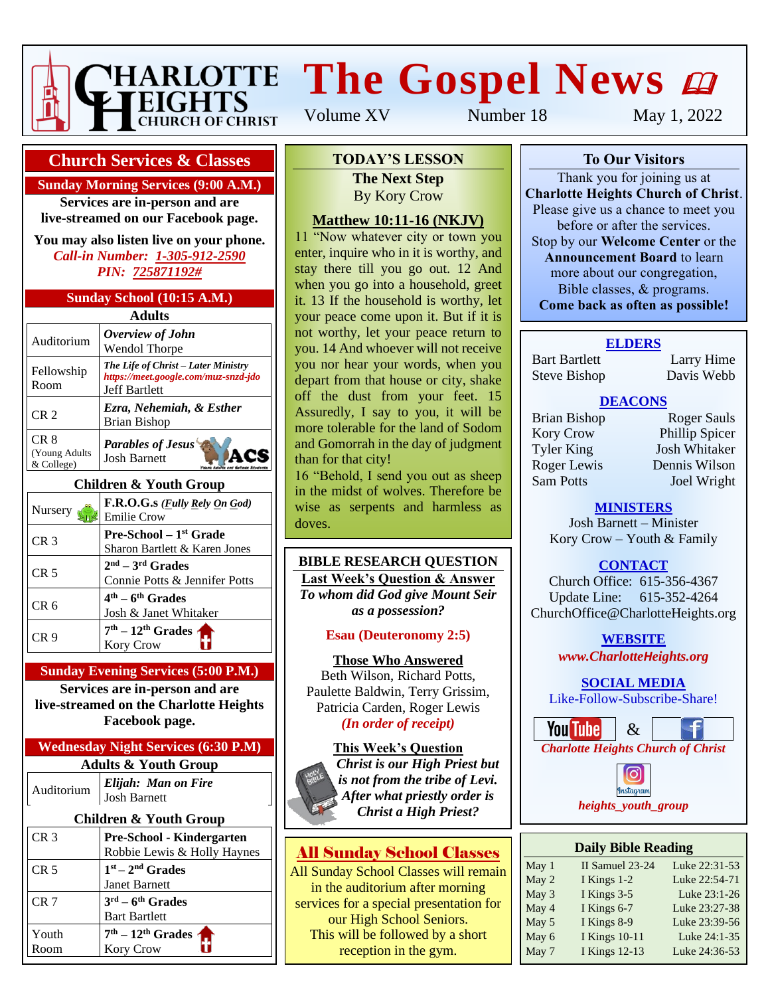

# **THARLOTTE The Gospel News @**

Volume XV Number 18 May 1, 2022

## **Church Services & Classes**

**Sunday Morning Services (9:00 A.M.)**

**Services are in-person and are live-streamed on our Facebook page.**

**You may also listen live on your phone.** *Call-in Number: 1-305-912-2590 PIN: 725871192#*

#### **Sunday School (10:15 A.M.)**

| <b>Adults</b>                       |                                                                                                     |  |  |
|-------------------------------------|-----------------------------------------------------------------------------------------------------|--|--|
| Auditorium                          | Overview of John<br>Wendol Thorpe                                                                   |  |  |
| Fellowship<br>Room                  | The Life of Christ – Later Ministry<br>https://meet.google.com/muz-snzd-jdo<br><b>Jeff Bartlett</b> |  |  |
| CR <sub>2</sub>                     | Ezra, Nehemiah, & Esther<br><b>Brian Bishop</b>                                                     |  |  |
| CR 8<br>(Young Adults<br>& College) | <b>Parables of Jesus</b><br><b>Josh Barnett</b>                                                     |  |  |

#### **Children & Youth Group**

| Nursery         | F.R.O.G.s ( <i>Fully Rely On God</i> )<br><b>Emilie Crow</b>     |
|-----------------|------------------------------------------------------------------|
| CR <sub>3</sub> | <b>Pre-School</b> – $1st$ Grade<br>Sharon Bartlett & Karen Jones |
| CR <sub>5</sub> | $2nd - 3rd$ Grades<br>Connie Potts & Jennifer Potts              |
| CR <sub>6</sub> | $4th - 6th$ Grades<br>Josh & Janet Whitaker                      |
| CR 9            | $7th - 12th$ Grades $\triangleleft$<br>Kory Crow                 |

#### **Sunday Evening Services (5:00 P.M.)**

**Services are in-person and are live-streamed on the Charlotte Heights Facebook page.**

#### **Wednesday Night Services (6:30 P.M) Adults & Youth Group**

Auditorium *Elijah: Man on Fire* Josh Barnett

#### **Children & Youth Group** CR 3 **Pre-School - Kindergarten** Robbie Lewis & Holly Haynes CR 5 **1 st – 2 nd Grades**

|                 | <b>Janet Barnett</b>           |
|-----------------|--------------------------------|
| CR <sub>7</sub> | $3rd - 6th Grades$             |
|                 | <b>Bart Bartlett</b>           |
| Youth           | $7th - 12th$ Grades $\uparrow$ |
| Room            | Kory Crow                      |

## **To Our Visitors TODAY'S LESSON**

**The Next Step Charlotte Heights Crow** 

#### Please give us a chance to meet you **Matthew 10:11-16 (NKJV)**

11 "Now whatever city or town you enter, inquire who in it is worthy, and stay there till you go out. 12 And when you go into a household, greet it. 13 If the household is worthy, let your peace come upon it. But if it is not worthy, let your peace return to you. 14 And whoever will not receive you nor hear your words, when you depart from that house or city, shake off the dust from your feet. 15 Assuredly, I say to you, it will be more tolerable for the land of Sodom and Gomorrah in the day of judgment than for that city!

16 "Behold, I send you out as sheep in the midst of wolves. Therefore be wise as serpents and harmless as doves.

# **BIBLE RESEARCH QUESTION**

**Last Week's Question & Answer** *To whom did God give Mount Seir as a possession?*

## **Esau (Deuteronomy 2:5)**

**Those Who Answered** Beth Wilson, Richard Potts, Paulette Baldwin, Terry Grissim, Patricia Carden, Roger Lewis *(In order of receipt)*

**This Week's Question** *Christ is our High Priest but is not from the tribe of Levi. After what priestly order is Christ a High Priest?*

# All Sunday School Classes

All Sunday School Classes will remain in the auditorium after morning services for a special presentation for our High School Seniors. This will be followed by a short reception in the gym.

#### **To Our Visitors**

Thank you for joining us at **Charlotte Heights Church of Christ**. Please give us a chance to meet you before or after the services. Stop by our **Welcome Center** or the **Announcement Board** to learn more about our congregation, Bible classes, & programs. **Come back as often as possible!**

#### **ELDERS**

Bart Bartlett Larry Hime Steve Bishop Davis Webb

## **DEACONS**

Kory Crow Phillip Spicer Tyler King Josh Whitaker Roger Lewis Dennis Wilson Sam Potts Joel Wright

Brian Bishop Roger Sauls

## **MINISTERS**

Josh Barnett – Minister Kory Crow – Youth & Family

## **CONTACT**

Church Office: 615-356-4367 Update Line: 615-352-4264 ChurchOffice@CharlotteHeights.org

**WEBSITE**

**Media Postings** *www.CharlotteHeights.org*

# **SOCIAL MEDIA**

Like-Follow-Subscribe-Share!



• Sunday Adult Auditorium Class nstagram • Wednesday Adult Bible Study *heights\_youth\_group*

|  |  | <b>Daily Bible Reading</b> |
|--|--|----------------------------|
|--|--|----------------------------|

| May 1 | II Samuel 23-24      | Luke 22:31-53 |
|-------|----------------------|---------------|
| May 2 | I Kings 1-2          | Luke 22:54-71 |
| May 3 | I Kings 3-5          | Luke 23:1-26  |
| May 4 | I Kings 6-7          | Luke 23:27-38 |
| May 5 | I Kings 8-9          | Luke 23:39-56 |
| May 6 | <b>I Kings 10-11</b> | Luke 24:1-35  |
| May 7 | I Kings 12-13        | Luke 24:36-53 |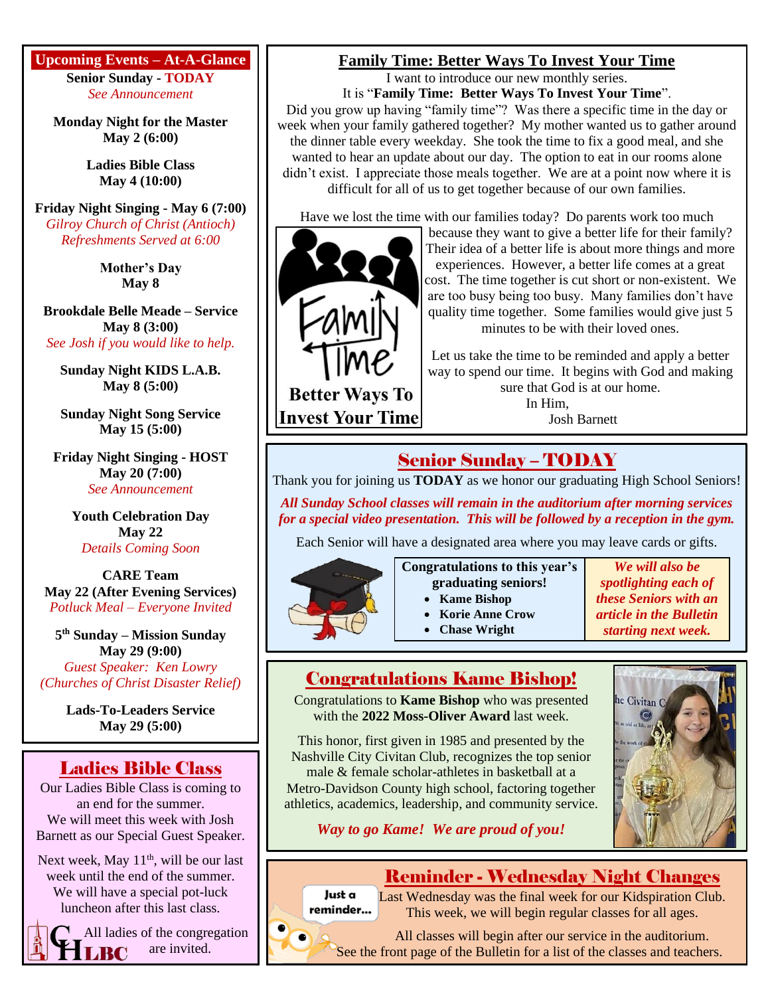**Upcoming Events – At-A-Glance Senior Sunday - TODAY** *See Announcement*

**Monday Night for the Master May 2 (6:00)**

> **Ladies Bible Class May 4 (10:00)**

**Friday Night Singing - May 6 (7:00)** *Gilroy Church of Christ (Antioch) Refreshments Served at 6:00*

> **Mother's Day May 8**

**Brookdale Belle Meade – Service May 8 (3:00)** *See Josh if you would like to help.*

**Sunday Night KIDS L.A.B. May 8 (5:00)**

**Sunday Night Song Service May 15 (5:00)**

**Friday Night Singing - HOST May 20 (7:00)** *See Announcement*

> **Youth Celebration Day May 22** *Details Coming Soon*

**CARE Team May 22 (After Evening Services)** *Potluck Meal – Everyone Invited*

**5 th Sunday – Mission Sunday May 29 (9:00)** *Guest Speaker: Ken Lowry (Churches of Christ Disaster Relief)*

> **Lads-To-Leaders Service May 29 (5:00)**

# Ladies Bible Class

Our Ladies Bible Class is coming to an end for the summer. We will meet this week with Josh Barnett as our Special Guest Speaker.

Next week, May  $11<sup>th</sup>$ , will be our last week until the end of the summer. We will have a special pot-luck luncheon after this last class.

All ladies of the congregation are invited.

#### **Family Time: Better Ways To Invest Your Time** I want to introduce our new monthly series.

It is "**Family Time: Better Ways To Invest Your Time**". Did you grow up having "family time"? Was there a specific time in the day or week when your family gathered together? My mother wanted us to gather around the dinner table every weekday. She took the time to fix a good meal, and she wanted to hear an update about our day. The option to eat in our rooms alone didn't exist. I appreciate those meals together. We are at a point now where it is difficult for all of us to get together because of our own families.

Have we lost the time with our families today? Do parents work too much



**Invest Your Time** 

because they want to give a better life for their family? Their idea of a better life is about more things and more experiences. However, a better life comes at a great cost. The time together is cut short or non-existent. We are too busy being too busy. Many families don't have quality time together. Some families would give just 5 minutes to be with their loved ones.

Let us take the time to be reminded and apply a better way to spend our time. It begins with God and making sure that God is at our home. In Him,

Josh Barnett

Senior Sunday – TODAY

Thank you for joining us **TODAY** as we honor our graduating High School Seniors!

*All Sunday School classes will remain in the auditorium after morning services for a special video presentation. This will be followed by a reception in the gym.*

Each Senior will have a designated area where you may leave cards or gifts.



**Congratulations to this year's graduating seniors!**

- **Kame Bishop**
- **Korie Anne Crow**
- **Chase Wright**

*We will also be spotlighting each of these Seniors with an article in the Bulletin starting next week.*

# Congratulations Kame Bishop!

Congratulations to **Kame Bishop** who was presented with the **2022 Moss-Oliver Award** last week.

This honor, first given in 1985 and presented by the Nashville City Civitan Club, recognizes the top senior male & female scholar-athletes in basketball at a Metro-Davidson County high school, factoring together athletics, academics, leadership, and community service.



*Way to go Kame! We are proud of you!*

# Reminder - Wednesday Night Changes

Just a reminder...

Last Wednesday was the final week for our Kidspiration Club. This week, we will begin regular classes for all ages.



All classes will begin after our service in the auditorium. See the front page of the Bulletin for a list of the classes and teachers.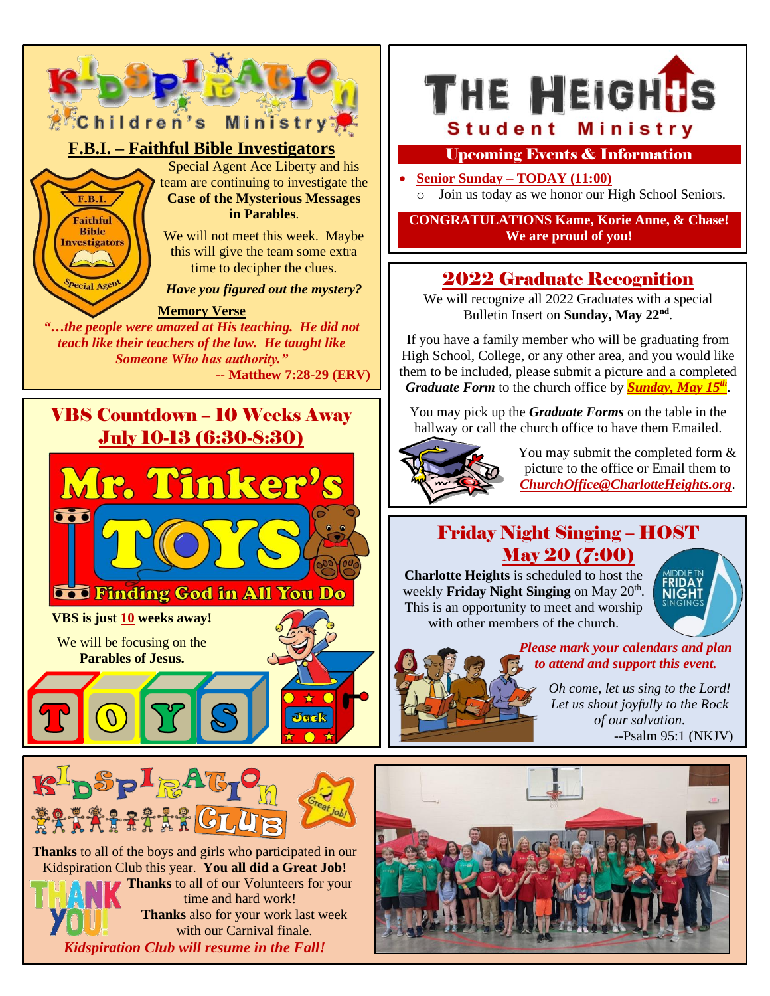